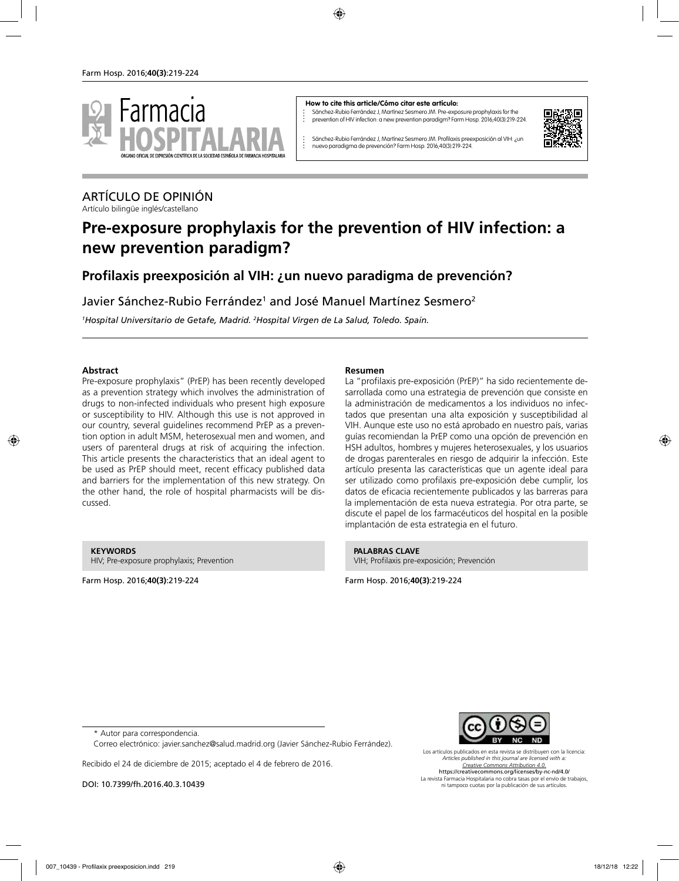

#### **How to cite this article/Cómo citar este artículo:**

Sánchez-Rubio Ferrández J, Martínez Sesmero JM. Pre-exposure prophylaxis for the prevention of HIV infection: a new prevention paradigm? Farm Hosp. 2016;40(3):219-224.



Sánchez-Rubio Ferrández J, Martínez Sesmero JM. Profilaxis preexposición al VIH: ¿un nuevo paradigma de prevención? Farm Hosp. 2016;40(3):219-224.

## ARTÍCULO DE OPINIÓN

Artículo bilingüe inglés/castellano

# **Pre-exposure prophylaxis for the prevention of HIV infection: a new prevention paradigm?**

## **Profilaxis preexposición al VIH: ¿un nuevo paradigma de prevención?**

Javier Sánchez-Rubio Ferrández<sup>1</sup> and José Manuel Martínez Sesmero<sup>2</sup>

*1 Hospital Universitario de Getafe, Madrid. 2 Hospital Virgen de La Salud, Toledo. Spain.*

### **Abstract**

Pre-exposure prophylaxis" (PrEP) has been recently developed as a prevention strategy which involves the administration of drugs to non-infected individuals who present high exposure or susceptibility to HIV. Although this use is not approved in our country, several guidelines recommend PrEP as a prevention option in adult MSM, heterosexual men and women, and users of parenteral drugs at risk of acquiring the infection. This article presents the characteristics that an ideal agent to be used as PrEP should meet, recent efficacy published data and barriers for the implementation of this new strategy. On the other hand, the role of hospital pharmacists will be discussed.

#### **KEYWORDS**

HIV; Pre-exposure prophylaxis; Prevention

Farm Hosp. 2016;**40(3)**:219-224

#### **Resumen**

La "profilaxis pre-exposición (PrEP)" ha sido recientemente desarrollada como una estrategia de prevención que consiste en la administración de medicamentos a los individuos no infectados que presentan una alta exposición y susceptibilidad al VIH. Aunque este uso no está aprobado en nuestro país, varias guías recomiendan la PrEP como una opción de prevención en HSH adultos, hombres y mujeres heterosexuales, y los usuarios de drogas parenterales en riesgo de adquirir la infección. Este artículo presenta las características que un agente ideal para ser utilizado como profilaxis pre-exposición debe cumplir, los datos de eficacia recientemente publicados y las barreras para la implementación de esta nueva estrategia. Por otra parte, se discute el papel de los farmacéuticos del hospital en la posible implantación de esta estrategia en el futuro.

**PALABRAS CLAVE** VIH; Profilaxis pre-exposición; Prevención

Farm Hosp. 2016;**40(3)**:219-224

\* Autor para correspondencia.

Correo electrónico: javier.sanchez@salud.madrid.org (Javier Sánchez-Rubio Ferrández).

Recibido el 24 de diciembre de 2015; aceptado el 4 de febrero de 2016.

DOI: 10.7399/fh.2016.40.3.10439



Los artículos publicados en esta revista se distribuyen con la licencia: *Articles published in this journal are licensed with a: Creative Commons Attribution 4.0.* https://creativecommons.org/licenses/by-nc-nd/4.0/ La revista Farmacia Hospitalaria no cobra tasas por el envío de trabajos, ni tampoco cuotas por la publicación de sus artículos.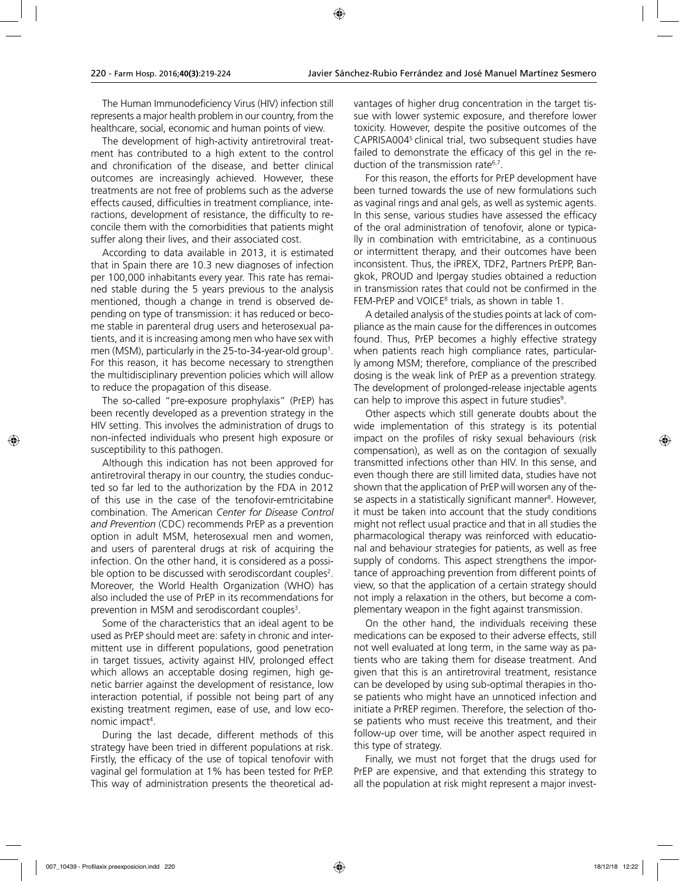The Human Immunodeficiency Virus (HIV) infection still represents a major health problem in our country, from the healthcare, social, economic and human points of view.

The development of high-activity antiretroviral treatment has contributed to a high extent to the control and chronification of the disease, and better clinical outcomes are increasingly achieved. However, these treatments are not free of problems such as the adverse effects caused, difficulties in treatment compliance, interactions, development of resistance, the difficulty to reconcile them with the comorbidities that patients might suffer along their lives, and their associated cost.

According to data available in 2013, it is estimated that in Spain there are 10.3 new diagnoses of infection per 100,000 inhabitants every year. This rate has remained stable during the 5 years previous to the analysis mentioned, though a change in trend is observed depending on type of transmission: it has reduced or become stable in parenteral drug users and heterosexual patients, and it is increasing among men who have sex with men (MSM), particularly in the 25-to-34-year-old group1 . For this reason, it has become necessary to strengthen the multidisciplinary prevention policies which will allow to reduce the propagation of this disease.

The so-called "pre-exposure prophylaxis" (PrEP) has been recently developed as a prevention strategy in the HIV setting. This involves the administration of drugs to non-infected individuals who present high exposure or susceptibility to this pathogen.

Although this indication has not been approved for antiretroviral therapy in our country, the studies conducted so far led to the authorization by the FDA in 2012 of this use in the case of the tenofovir-emtricitabine combination. The American *Center for Disease Control and Prevention* (CDC) recommends PrEP as a prevention option in adult MSM, heterosexual men and women, and users of parenteral drugs at risk of acquiring the infection. On the other hand, it is considered as a possible option to be discussed with serodiscordant couples<sup>2</sup>. Moreover, the World Health Organization (WHO) has also included the use of PrEP in its recommendations for prevention in MSM and serodiscordant couples<sup>3</sup>.

Some of the characteristics that an ideal agent to be used as PrEP should meet are: safety in chronic and intermittent use in different populations, good penetration in target tissues, activity against HIV, prolonged effect which allows an acceptable dosing regimen, high genetic barrier against the development of resistance, low interaction potential, if possible not being part of any existing treatment regimen, ease of use, and low economic impact<sup>4</sup>.

During the last decade, different methods of this strategy have been tried in different populations at risk. Firstly, the efficacy of the use of topical tenofovir with vaginal gel formulation at 1% has been tested for PrEP. This way of administration presents the theoretical advantages of higher drug concentration in the target tissue with lower systemic exposure, and therefore lower toxicity. However, despite the positive outcomes of the CAPRISA0045 clinical trial, two subsequent studies have failed to demonstrate the efficacy of this gel in the reduction of the transmission rate<sup>6,7</sup>.

For this reason, the efforts for PrEP development have been turned towards the use of new formulations such as vaginal rings and anal gels, as well as systemic agents. In this sense, various studies have assessed the efficacy of the oral administration of tenofovir, alone or typically in combination with emtricitabine, as a continuous or intermittent therapy, and their outcomes have been inconsistent. Thus, the iPREX, TDF2, Partners PrEPP, Bangkok, PROUD and Ipergay studies obtained a reduction in transmission rates that could not be confirmed in the FEM-PrEP and VOICE<sup>8</sup> trials, as shown in table 1.

A detailed analysis of the studies points at lack of compliance as the main cause for the differences in outcomes found. Thus, PrEP becomes a highly effective strategy when patients reach high compliance rates, particularly among MSM; therefore, compliance of the prescribed dosing is the weak link of PrEP as a prevention strategy. The development of prolonged-release injectable agents can help to improve this aspect in future studies<sup>9</sup>.

Other aspects which still generate doubts about the wide implementation of this strategy is its potential impact on the profiles of risky sexual behaviours (risk compensation), as well as on the contagion of sexually transmitted infections other than HIV. In this sense, and even though there are still limited data, studies have not shown that the application of PrEP will worsen any of these aspects in a statistically significant manner<sup>s</sup>. However, it must be taken into account that the study conditions might not reflect usual practice and that in all studies the pharmacological therapy was reinforced with educational and behaviour strategies for patients, as well as free supply of condoms. This aspect strengthens the importance of approaching prevention from different points of view, so that the application of a certain strategy should not imply a relaxation in the others, but become a complementary weapon in the fight against transmission.

On the other hand, the individuals receiving these medications can be exposed to their adverse effects, still not well evaluated at long term, in the same way as patients who are taking them for disease treatment. And given that this is an antiretroviral treatment, resistance can be developed by using sub-optimal therapies in those patients who might have an unnoticed infection and initiate a PrREP regimen. Therefore, the selection of those patients who must receive this treatment, and their follow-up over time, will be another aspect required in this type of strategy.

Finally, we must not forget that the drugs used for PrEP are expensive, and that extending this strategy to all the population at risk might represent a major invest-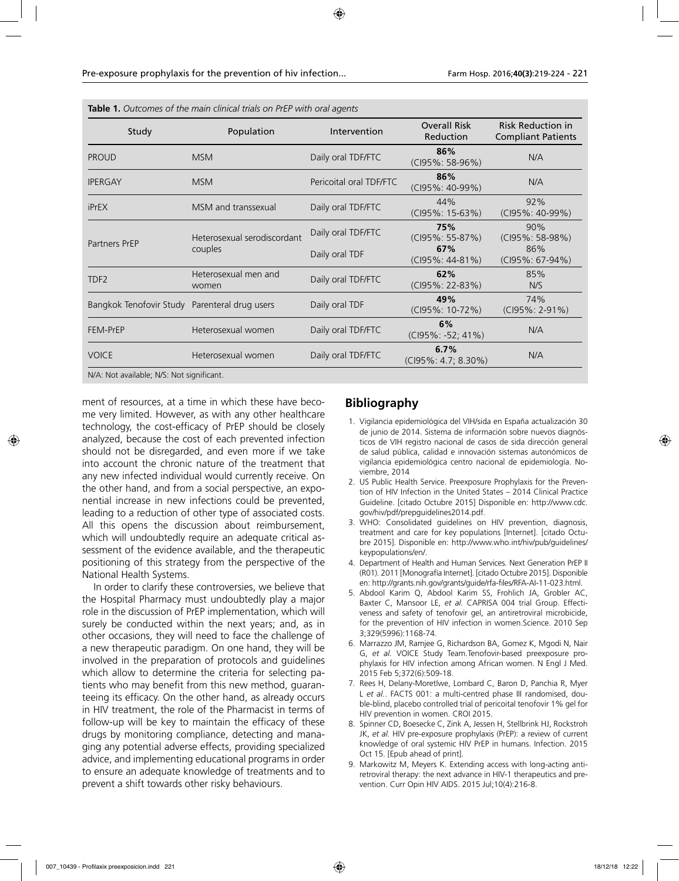| Study                                         | Population                             | Intervention                         | <b>Overall Risk</b><br>Reduction                         | <b>Risk Reduction in</b><br><b>Compliant Patients</b> |
|-----------------------------------------------|----------------------------------------|--------------------------------------|----------------------------------------------------------|-------------------------------------------------------|
| <b>PROUD</b>                                  | <b>MSM</b>                             | Daily oral TDF/FTC                   | 86%<br>(CI95%: 58-96%)                                   | N/A                                                   |
| <b>IPERGAY</b>                                | <b>MSM</b>                             | Pericoital oral TDF/FTC              | 86%<br>(CI95%: 40-99%)                                   | N/A                                                   |
| iPrEX                                         | MSM and transsexual                    | Daily oral TDF/FTC                   | 44%<br>(CI95%: 15-63%)                                   | 92%<br>(CI95%: 40-99%)                                |
| Partners PrEP                                 | Heterosexual serodiscordant<br>couples | Daily oral TDF/FTC<br>Daily oral TDF | 75%<br>$(C195\%: 55-87\%)$<br>67%<br>$(C195\%: 44-81\%)$ | 90%<br>(CI95%: 58-98%)<br>86%<br>$(C195\% : 67-94\%)$ |
| TDF <sub>2</sub>                              | Heterosexual men and<br>women          | Daily oral TDF/FTC                   | 62%<br>(CI95%: 22-83%)                                   | 85%<br>N/S                                            |
| Bangkok Tenofovir Study Parenteral drug users |                                        | Daily oral TDF                       | 49%<br>(CI95%: 10-72%)                                   | 74%<br>$(C195\%: 2-91\%)$                             |
| FEM-PrEP                                      | Heterosexual women                     | Daily oral TDF/FTC                   | 6%<br>(CI95%: -52; 41%)                                  | N/A                                                   |
| <b>VOICE</b>                                  | Heterosexual women                     | Daily oral TDF/FTC                   | 6.7%<br>(CI95%: 4.7; 8.30%)                              | N/A                                                   |

ment of resources, at a time in which these have become very limited. However, as with any other healthcare technology, the cost-efficacy of PrEP should be closely analyzed, because the cost of each prevented infection should not be disregarded, and even more if we take into account the chronic nature of the treatment that any new infected individual would currently receive. On the other hand, and from a social perspective, an exponential increase in new infections could be prevented, leading to a reduction of other type of associated costs. All this opens the discussion about reimbursement, which will undoubtedly require an adequate critical assessment of the evidence available, and the therapeutic positioning of this strategy from the perspective of the National Health Systems.

In order to clarify these controversies, we believe that the Hospital Pharmacy must undoubtedly play a major role in the discussion of PrEP implementation, which will surely be conducted within the next years; and, as in other occasions, they will need to face the challenge of a new therapeutic paradigm. On one hand, they will be involved in the preparation of protocols and guidelines which allow to determine the criteria for selecting patients who may benefit from this new method, guaranteeing its efficacy. On the other hand, as already occurs in HIV treatment, the role of the Pharmacist in terms of follow-up will be key to maintain the efficacy of these drugs by monitoring compliance, detecting and managing any potential adverse effects, providing specialized advice, and implementing educational programs in order to ensure an adequate knowledge of treatments and to prevent a shift towards other risky behaviours.

## **Bibliography**

- 1. Vigilancia epidemiológica del VIH/sida en España actualización 30 de junio de 2014. Sistema de información sobre nuevos diagnósticos de VIH registro nacional de casos de sida dirección general de salud pública, calidad e innovación sistemas autonómicos de vigilancia epidemiológica centro nacional de epidemiología. Noviembre, 2014
- 2. US Public Health Service. Preexposure Prophylaxis for the Prevention of HIV Infection in the United States – 2014 Clinical Practice Guideline. [citado Octubre 2015] Disponible en: http://www.cdc. gov/hiv/pdf/prepguidelines2014.pdf.
- 3. WHO: Consolidated guidelines on HIV prevention, diagnosis, treatment and care for key populations [Internet]. [citado Octubre 2015]. Disponible en: http://www.who.int/hiv/pub/guidelines/ keypopulations/en/.
- 4. Department of Health and Human Services. Next Generation PrEP II (R01). 2011 [Monografía Internet]. [citado Octubre 2015]. Disponible en: http://grants.nih.gov/grants/guide/rfa-files/RFA-AI-11-023.html.
- 5. Abdool Karim Q, Abdool Karim SS, Frohlich JA, Grobler AC, Baxter C, Mansoor LE, *et al.* CAPRISA 004 trial Group. Effectiveness and safety of tenofovir gel, an antiretroviral microbicide, for the prevention of HIV infection in women.Science. 2010 Sep 3;329(5996):1168-74.
- 6. Marrazzo JM, Ramjee G, Richardson BA, Gomez K, Mgodi N, Nair G, *et al.* VOICE Study Team.Tenofovir-based preexposure prophylaxis for HIV infection among African women. N Engl J Med. 2015 Feb 5;372(6):509-18.
- 7. Rees H, Delany-Moretlwe, Lombard C, Baron D, Panchia R, Myer L *et al.*. FACTS 001: a multi-centred phase III randomised, double-blind, placebo controlled trial of pericoital tenofovir 1% gel for HIV prevention in women. CROI 2015.
- 8. Spinner CD, Boesecke C, Zink A, Jessen H, Stellbrink HJ, Rockstroh JK, *et al.* HIV pre-exposure prophylaxis (PrEP): a review of current knowledge of oral systemic HIV PrEP in humans. Infection. 2015 Oct 15. [Epub ahead of print].
- 9. Markowitz M, Meyers K. Extending access with long-acting antiretroviral therapy: the next advance in HIV-1 therapeutics and prevention. Curr Opin HIV AIDS. 2015 Jul;10(4):216-8.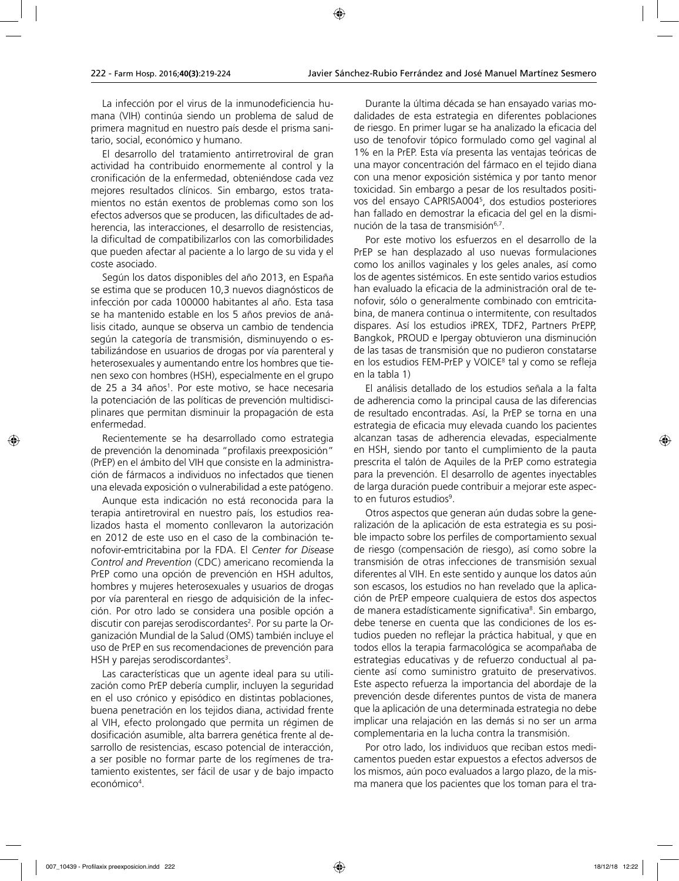La infección por el virus de la inmunodeficiencia humana (VIH) continúa siendo un problema de salud de primera magnitud en nuestro país desde el prisma sanitario, social, económico y humano.

El desarrollo del tratamiento antirretroviral de gran actividad ha contribuido enormemente al control y la cronificación de la enfermedad, obteniéndose cada vez mejores resultados clínicos. Sin embargo, estos tratamientos no están exentos de problemas como son los efectos adversos que se producen, las dificultades de adherencia, las interacciones, el desarrollo de resistencias, la dificultad de compatibilizarlos con las comorbilidades que pueden afectar al paciente a lo largo de su vida y el coste asociado.

Según los datos disponibles del año 2013, en España se estima que se producen 10,3 nuevos diagnósticos de infección por cada 100000 habitantes al año. Esta tasa se ha mantenido estable en los 5 años previos de análisis citado, aunque se observa un cambio de tendencia según la categoría de transmisión, disminuyendo o estabilizándose en usuarios de drogas por vía parenteral y heterosexuales y aumentando entre los hombres que tienen sexo con hombres (HSH), especialmente en el grupo de 25 a 34 años<sup>1</sup>. Por este motivo, se hace necesaria la potenciación de las políticas de prevención multidisciplinares que permitan disminuir la propagación de esta enfermedad.

Recientemente se ha desarrollado como estrategia de prevención la denominada "profilaxis preexposición" (PrEP) en el ámbito del VIH que consiste en la administración de fármacos a individuos no infectados que tienen una elevada exposición o vulnerabilidad a este patógeno.

Aunque esta indicación no está reconocida para la terapia antiretroviral en nuestro país, los estudios realizados hasta el momento conllevaron la autorización en 2012 de este uso en el caso de la combinación tenofovir-emtricitabina por la FDA. El *Center for Disease Control and Prevention* (CDC) americano recomienda la PrEP como una opción de prevención en HSH adultos, hombres y mujeres heterosexuales y usuarios de drogas por vía parenteral en riesgo de adquisición de la infección. Por otro lado se considera una posible opción a discutir con parejas serodiscordantes<sup>2</sup>. Por su parte la Organización Mundial de la Salud (OMS) también incluye el uso de PrEP en sus recomendaciones de prevención para HSH y parejas serodiscordantes<sup>3</sup>.

Las características que un agente ideal para su utilización como PrEP debería cumplir, incluyen la seguridad en el uso crónico y episódico en distintas poblaciones, buena penetración en los tejidos diana, actividad frente al VIH, efecto prolongado que permita un régimen de dosificación asumible, alta barrera genética frente al desarrollo de resistencias, escaso potencial de interacción, a ser posible no formar parte de los regímenes de tratamiento existentes, ser fácil de usar y de bajo impacto económico<sup>4</sup>.

Durante la última década se han ensayado varias modalidades de esta estrategia en diferentes poblaciones de riesgo. En primer lugar se ha analizado la eficacia del uso de tenofovir tópico formulado como gel vaginal al 1% en la PrEP. Esta vía presenta las ventajas teóricas de una mayor concentración del fármaco en el tejido diana con una menor exposición sistémica y por tanto menor toxicidad. Sin embargo a pesar de los resultados positivos del ensayo CAPRISA0045 , dos estudios posteriores han fallado en demostrar la eficacia del gel en la disminución de la tasa de transmisión<sup>6,7</sup>.

Por este motivo los esfuerzos en el desarrollo de la PrEP se han desplazado al uso nuevas formulaciones como los anillos vaginales y los geles anales, así como los de agentes sistémicos. En este sentido varios estudios han evaluado la eficacia de la administración oral de tenofovir, sólo o generalmente combinado con emtricitabina, de manera continua o intermitente, con resultados dispares. Así los estudios iPREX, TDF2, Partners PrEPP, Bangkok, PROUD e Ipergay obtuvieron una disminución de las tasas de transmisión que no pudieron constatarse en los estudios FEM-PrEP y VOICE<sup>8</sup> tal y como se refleja en la tabla 1)

El análisis detallado de los estudios señala a la falta de adherencia como la principal causa de las diferencias de resultado encontradas. Así, la PrEP se torna en una estrategia de eficacia muy elevada cuando los pacientes alcanzan tasas de adherencia elevadas, especialmente en HSH, siendo por tanto el cumplimiento de la pauta prescrita el talón de Aquiles de la PrEP como estrategia para la prevención. El desarrollo de agentes inyectables de larga duración puede contribuir a mejorar este aspecto en futuros estudios<sup>9</sup>.

Otros aspectos que generan aún dudas sobre la generalización de la aplicación de esta estrategia es su posible impacto sobre los perfiles de comportamiento sexual de riesgo (compensación de riesgo), así como sobre la transmisión de otras infecciones de transmisión sexual diferentes al VIH. En este sentido y aunque los datos aún son escasos, los estudios no han revelado que la aplicación de PrEP empeore cualquiera de estos dos aspectos de manera estadísticamente significativa<sup>s</sup>. Sin embargo, debe tenerse en cuenta que las condiciones de los estudios pueden no reflejar la práctica habitual, y que en todos ellos la terapia farmacológica se acompañaba de estrategias educativas y de refuerzo conductual al paciente así como suministro gratuito de preservativos. Este aspecto refuerza la importancia del abordaje de la prevención desde diferentes puntos de vista de manera que la aplicación de una determinada estrategia no debe implicar una relajación en las demás si no ser un arma complementaria en la lucha contra la transmisión.

Por otro lado, los individuos que reciban estos medicamentos pueden estar expuestos a efectos adversos de los mismos, aún poco evaluados a largo plazo, de la misma manera que los pacientes que los toman para el tra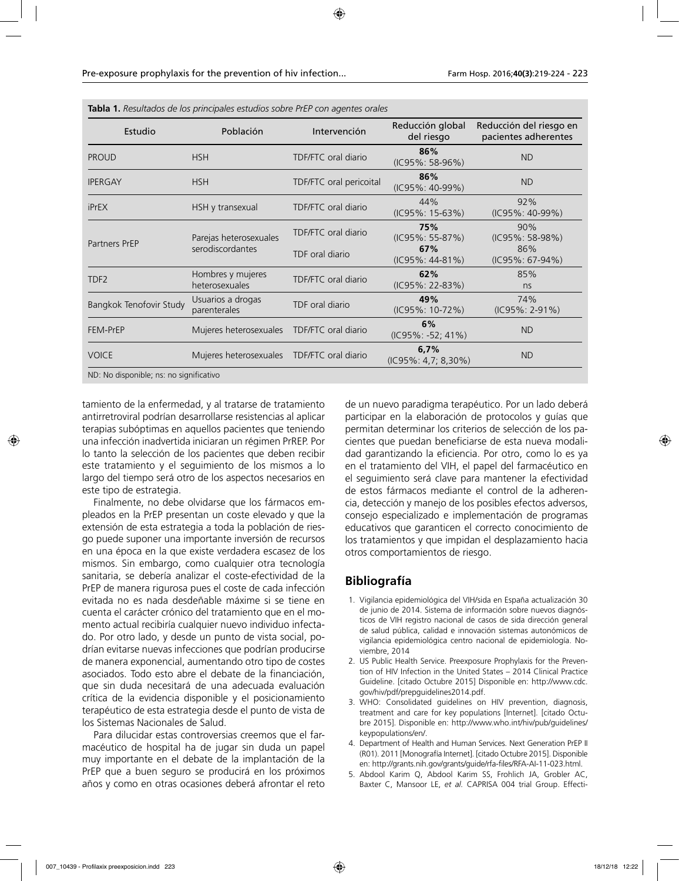**Tabla 1.** *Resultados de los principales estudios sobre PrEP con agentes orales*

| Estudio                 | Población                                  | Intervención                                  | Reducción global<br>del riesgo                       | Reducción del riesgo en<br>pacientes adherentes      |
|-------------------------|--------------------------------------------|-----------------------------------------------|------------------------------------------------------|------------------------------------------------------|
| <b>PROUD</b>            | <b>HSH</b>                                 | TDF/FTC oral diario                           | 86%<br>(IC95%: 58-96%)                               | <b>ND</b>                                            |
| <b>IPERGAY</b>          | <b>HSH</b>                                 | TDF/FTC oral pericoital                       | 86%<br>(IC95%: 40-99%)                               | <b>ND</b>                                            |
| <b>iPrEX</b>            | HSH y transexual                           | TDF/FTC oral diario                           | 44%<br>(IC95%: 15-63%)                               | 92%<br>$(IC95\%: 40-99\%)$                           |
| Partners PrEP           | Parejas heterosexuales<br>serodiscordantes | <b>TDF/FTC oral diario</b><br>TDF oral diario | 75%<br>(IC95%: 55-87%)<br>67%<br>$(IC95\%: 44-81\%)$ | 90%<br>(IC95%: 58-98%)<br>86%<br>$(IC95\%: 67-94\%)$ |
| TDF <sub>2</sub>        | Hombres y mujeres<br>heterosexuales        | TDF/FTC oral diario                           | 62%<br>$(IC95\%: 22-83\%)$                           | 85%<br>ns                                            |
| Bangkok Tenofovir Study | Usuarios a drogas<br>parenterales          | TDF oral diario                               | 49%<br>(IC95%: 10-72%)                               | 74%<br>$(IC95\%: 2-91\%)$                            |
| FEM-PrEP                | Mujeres heterosexuales                     | TDF/FTC oral diario                           | 6%<br>$(IC95\%: -52; 41\%)$                          | <b>ND</b>                                            |
| <b>VOICE</b>            | Mujeres heterosexuales                     | TDF/FTC oral diario                           | 6,7%<br>(IC95%: 4,7; 8,30%)                          | <b>ND</b>                                            |

tamiento de la enfermedad, y al tratarse de tratamiento antirretroviral podrían desarrollarse resistencias al aplicar terapias subóptimas en aquellos pacientes que teniendo una infección inadvertida iniciaran un régimen PrREP. Por lo tanto la selección de los pacientes que deben recibir este tratamiento y el seguimiento de los mismos a lo largo del tiempo será otro de los aspectos necesarios en este tipo de estrategia.

Finalmente, no debe olvidarse que los fármacos empleados en la PrEP presentan un coste elevado y que la extensión de esta estrategia a toda la población de riesgo puede suponer una importante inversión de recursos en una época en la que existe verdadera escasez de los mismos. Sin embargo, como cualquier otra tecnología sanitaria, se debería analizar el coste-efectividad de la PrEP de manera rigurosa pues el coste de cada infección evitada no es nada desdeñable máxime si se tiene en cuenta el carácter crónico del tratamiento que en el momento actual recibiría cualquier nuevo individuo infectado. Por otro lado, y desde un punto de vista social, podrían evitarse nuevas infecciones que podrían producirse de manera exponencial, aumentando otro tipo de costes asociados. Todo esto abre el debate de la financiación, que sin duda necesitará de una adecuada evaluación crítica de la evidencia disponible y el posicionamiento terapéutico de esta estrategia desde el punto de vista de los Sistemas Nacionales de Salud.

Para dilucidar estas controversias creemos que el farmacéutico de hospital ha de jugar sin duda un papel muy importante en el debate de la implantación de la PrEP que a buen seguro se producirá en los próximos años y como en otras ocasiones deberá afrontar el reto

de un nuevo paradigma terapéutico. Por un lado deberá participar en la elaboración de protocolos y guías que permitan determinar los criterios de selección de los pacientes que puedan beneficiarse de esta nueva modalidad garantizando la eficiencia. Por otro, como lo es ya en el tratamiento del VIH, el papel del farmacéutico en el seguimiento será clave para mantener la efectividad de estos fármacos mediante el control de la adherencia, detección y manejo de los posibles efectos adversos, consejo especializado e implementación de programas educativos que garanticen el correcto conocimiento de los tratamientos y que impidan el desplazamiento hacia otros comportamientos de riesgo.

## **Bibliografía**

- 1. Vigilancia epidemiológica del VIH/sida en España actualización 30 de junio de 2014. Sistema de información sobre nuevos diagnósticos de VIH registro nacional de casos de sida dirección general de salud pública, calidad e innovación sistemas autonómicos de vigilancia epidemiológica centro nacional de epidemiología. Noviembre, 2014
- 2. US Public Health Service. Preexposure Prophylaxis for the Prevention of HIV Infection in the United States – 2014 Clinical Practice Guideline. [citado Octubre 2015] Disponible en: http://www.cdc. gov/hiv/pdf/prepguidelines2014.pdf.
- 3. WHO: Consolidated guidelines on HIV prevention, diagnosis, treatment and care for key populations [Internet]. [citado Octubre 2015]. Disponible en: http://www.who.int/hiv/pub/guidelines/ keypopulations/en/.
- 4. Department of Health and Human Services. Next Generation PrEP II (R01). 2011 [Monografía Internet]. [citado Octubre 2015]. Disponible en: http://grants.nih.gov/grants/guide/rfa-files/RFA-AI-11-023.html.
- 5. Abdool Karim Q, Abdool Karim SS, Frohlich JA, Grobler AC, Baxter C, Mansoor LE, *et al.* CAPRISA 004 trial Group. Effecti-